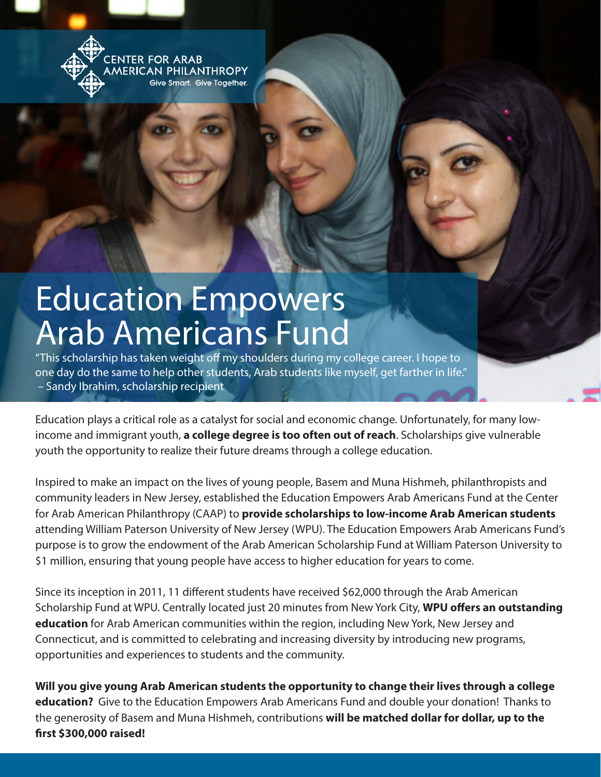**ENTER FOR ARAB MERICAN PHILANTHROPY** Sive Smart. Give Together.

## Education Empowers Arab Americans Fund

"This scholarship has taken weight off my shoulders during my college career. I hope to one day do the same to help other students, Arab students like myself, get farther in life." – Sandy Ibrahim, scholarship recipient

Education plays a critical role as a catalyst for social and economic change. Unfortunately, for many lowincome and immigrant youth, **a college degree is too often out of reach**. Scholarships give vulnerable youth the opportunity to realize their future dreams through a college education.

Inspired to make an impact on the lives of young people, Basem and Muna Hishmeh, philanthropists and community leaders in New Jersey, established the Education Empowers Arab Americans Fund at the Center for Arab American Philanthropy (CAAP) to **provide scholarships to low-income Arab American students** attending William Paterson University of New Jersey (WPU). The Education Empowers Arab Americans Fund's purpose is to grow the endowment of the Arab American Scholarship Fund at William Paterson University to \$1 million, ensuring that young people have access to higher education for years to come.

Since its inception in 2011, 11 different students have received \$62,000 through the Arab American Scholarship Fund at WPU. Centrally located just 20 minutes from New York City, **WPU offers an outstanding education** for Arab American communities within the region, including New York, New Jersey and Connecticut, and is committed to celebrating and increasing diversity by introducing new programs, opportunities and experiences to students and the community.

**Will you give young Arab American students the opportunity to change their lives through a college education?** Give to the Education Empowers Arab Americans Fund and double your donation! Thanks to the generosity of Basem and Muna Hishmeh, contributions **will be matched dollar for dollar, up to the first \$300,000 raised!**